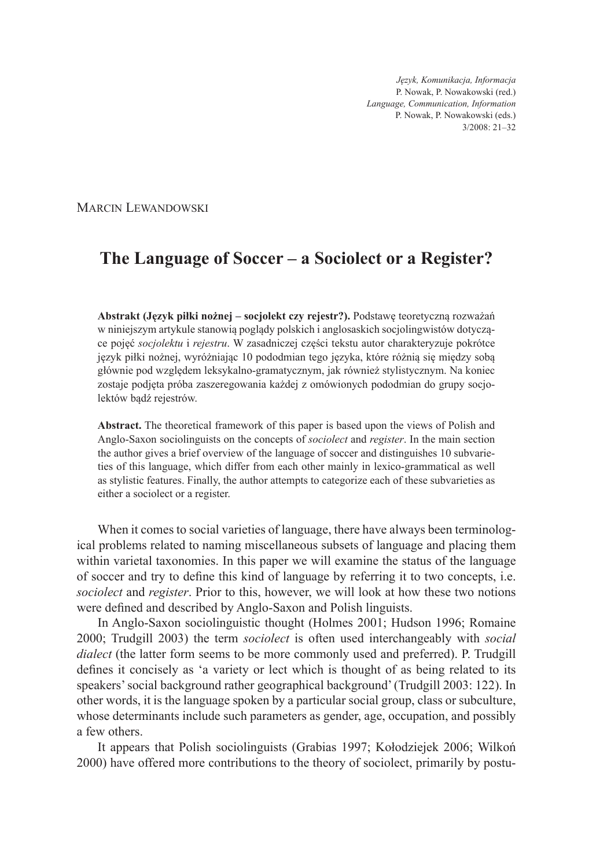*Język, Komunikacja, Informacja* P. Nowak, P. Nowakowski (red.) *Language, Communication, Information* P. Nowak, P. Nowakowski (eds.) 3/2008: 21–32

MARCIN LEWANDOWSKI

# **The Language of Soccer – a Sociolect or a Register?**

**Abstrakt (Język piłki nożnej – socjolekt czy rejestr?).** Podstawę teoretyczną rozważań w niniejszym artykule stanowią poglądy polskich i anglosaskich socjolingwistów dotyczące pojęć *socjolektu* i *rejestru*. W zasadniczej części tekstu autor charakteryzuje pokrótce język piłki nożnej, wyróżniając 10 pododmian tego języka, które różnią się między sobą głównie pod względem leksykalno-gramatycznym, jak również stylistycznym. Na koniec zostaje podjęta próba zaszeregowania każdej z omówionych pododmian do grupy socjolektów bądź rejestrów.

**Abstract.** The theoretical framework of this paper is based upon the views of Polish and Anglo-Saxon sociolinguists on the concepts of *sociolect* and *register*. In the main section the author gives a brief overview of the language of soccer and distinguishes 10 subvarieties of this language, which differ from each other mainly in lexico-grammatical as well as stylistic features. Finally, the author attempts to categorize each of these subvarieties as either a sociolect or a register.

When it comes to social varieties of language, there have always been terminological problems related to naming miscellaneous subsets of language and placing them within varietal taxonomies. In this paper we will examine the status of the language of soccer and try to define this kind of language by referring it to two concepts, i.e. *sociolect* and *register*. Prior to this, however, we will look at how these two notions were defined and described by Anglo-Saxon and Polish linguists.

In Anglo-Saxon sociolinguistic thought (Holmes 2001; Hudson 1996; Romaine 2000; Trudgill 2003) the term *sociolect* is often used interchangeably with *social dialect* (the latter form seems to be more commonly used and preferred). P. Trudgill defines it concisely as 'a variety or lect which is thought of as being related to its speakers' social background rather geographical background' (Trudgill 2003: 122). In other words, it is the language spoken by a particular social group, class or subculture, whose determinants include such parameters as gender, age, occupation, and possibly a few others.

It appears that Polish sociolinguists (Grabias 1997; Kołodziejek 2006; Wilkoń 2000) have offered more contributions to the theory of sociolect, primarily by postu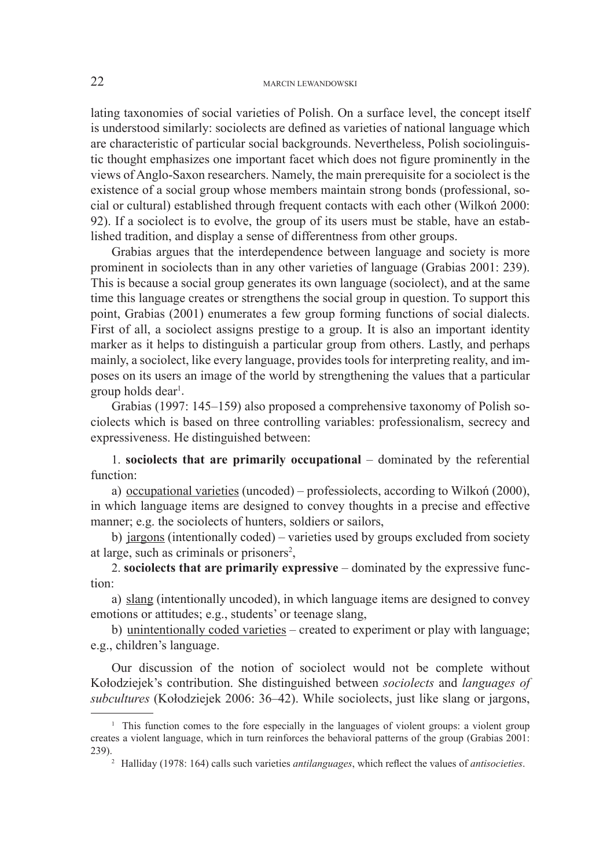lating taxonomies of social varieties of Polish. On a surface level, the concept itself is understood similarly: sociolects are defined as varieties of national language which are characteristic of particular social backgrounds. Nevertheless, Polish sociolinguistic thought emphasizes one important facet which does not figure prominently in the views of Anglo-Saxon researchers. Namely, the main prerequisite for a sociolect is the existence of a social group whose members maintain strong bonds (professional, social or cultural) established through frequent contacts with each other (Wilkoń 2000: 92). If a sociolect is to evolve, the group of its users must be stable, have an established tradition, and display a sense of differentness from other groups.

Grabias argues that the interdependence between language and society is more prominent in sociolects than in any other varieties of language (Grabias 2001: 239). This is because a social group generates its own language (sociolect), and at the same time this language creates or strengthens the social group in question. To support this point, Grabias (2001) enumerates a few group forming functions of social dialects. First of all, a sociolect assigns prestige to a group. It is also an important identity marker as it helps to distinguish a particular group from others. Lastly, and perhaps mainly, a sociolect, like every language, provides tools for interpreting reality, and imposes on its users an image of the world by strengthening the values that a particular group holds dear<sup>1</sup>.

Grabias (1997: 145–159) also proposed a comprehensive taxonomy of Polish sociolects which is based on three controlling variables: professionalism, secrecy and expressiveness. He distinguished between:

1. **sociolects that are primarily occupational** – dominated by the referential function:

a) occupational varieties (uncoded) – professiolects, according to Wilkoń (2000), in which language items are designed to convey thoughts in a precise and effective manner; e.g. the sociolects of hunters, soldiers or sailors,

b) jargons (intentionally coded) – varieties used by groups excluded from society at large, such as criminals or prisoners<sup>2</sup>,

2. **sociolects that are primarily expressive** – dominated by the expressive function:

a) slang (intentionally uncoded), in which language items are designed to convey emotions or attitudes; e.g., students' or teenage slang,

b) unintentionally coded varieties – created to experiment or play with language; e.g., children's language.

Our discussion of the notion of sociolect would not be complete without Kołodziejek's contribution. She distinguished between *sociolects* and *languages of subcultures* (Kołodziejek 2006: 36–42). While sociolects, just like slang or jargons,

<sup>&</sup>lt;sup>1</sup> This function comes to the fore especially in the languages of violent groups: a violent group creates a violent language, which in turn reinforces the behavioral patterns of the group (Grabias 2001: 239).

<sup>&</sup>lt;sup>2</sup> Halliday (1978: 164) calls such varieties *antilanguages*, which reflect the values of *antisocieties*.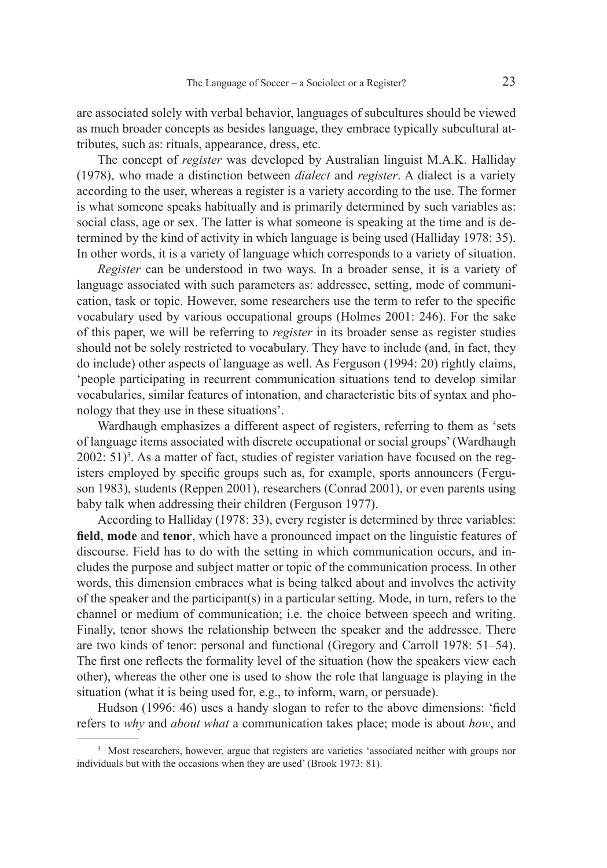are associated solely with verbal behavior, languages of subcultures should be viewed as much broader concepts as besides language, they embrace typically subcultural attributes, such as: rituals, appearance, dress, etc.

The concept of *register* was developed by Australian linguist M.A.K. Halliday (1978), who made a distinction between *dialect* and *register*. A dialect is a variety according to the user, whereas a register is a variety according to the use. The former is what someone speaks habitually and is primarily determined by such variables as: social class, age or sex. The latter is what someone is speaking at the time and is determined by the kind of activity in which language is being used (Halliday 1978: 35). In other words, it is a variety of language which corresponds to a variety of situation.

*Register* can be understood in two ways. In a broader sense, it is a variety of language associated with such parameters as: addressee, setting, mode of communication, task or topic. However, some researchers use the term to refer to the specific vocabulary used by various occupational groups (Holmes 2001: 246). For the sake of this paper, we will be referring to *register* in its broader sense as register studies should not be solely restricted to vocabulary. They have to include (and, in fact, they do include) other aspects of language as well. As Ferguson (1994: 20) rightly claims, 'people participating in recurrent communication situations tend to develop similar vocabularies, similar features of intonation, and characteristic bits of syntax and phonology that they use in these situations'.

Wardhaugh emphasizes a different aspect of registers, referring to them as 'sets of language items associated with discrete occupational or social groups' (Wardhaugh  $2002: 51$ <sup>3</sup>. As a matter of fact, studies of register variation have focused on the registers employed by specific groups such as, for example, sports announcers (Ferguson 1983), students (Reppen 2001), researchers (Conrad 2001), or even parents using baby talk when addressing their children (Ferguson 1977).

According to Halliday (1978: 33), every register is determined by three variables: field, mode and tenor, which have a pronounced impact on the linguistic features of discourse. Field has to do with the setting in which communication occurs, and includes the purpose and subject matter or topic of the communication process. In other words, this dimension embraces what is being talked about and involves the activity of the speaker and the participant(s) in a particular setting. Mode, in turn, refers to the channel or medium of communication; i.e. the choice between speech and writing. Finally, tenor shows the relationship between the speaker and the addressee. There are two kinds of tenor: personal and functional (Gregory and Carroll 1978: 51–54). The first one reflects the formality level of the situation (how the speakers view each other), whereas the other one is used to show the role that language is playing in the situation (what it is being used for, e.g., to inform, warn, or persuade).

Hudson (1996: 46) uses a handy slogan to refer to the above dimensions: 'field refers to *why* and *about what* a communication takes place; mode is about *how*, and

<sup>&</sup>lt;sup>3</sup> Most researchers, however, argue that registers are varieties 'associated neither with groups nor individuals but with the occasions when they are used' (Brook 1973: 81).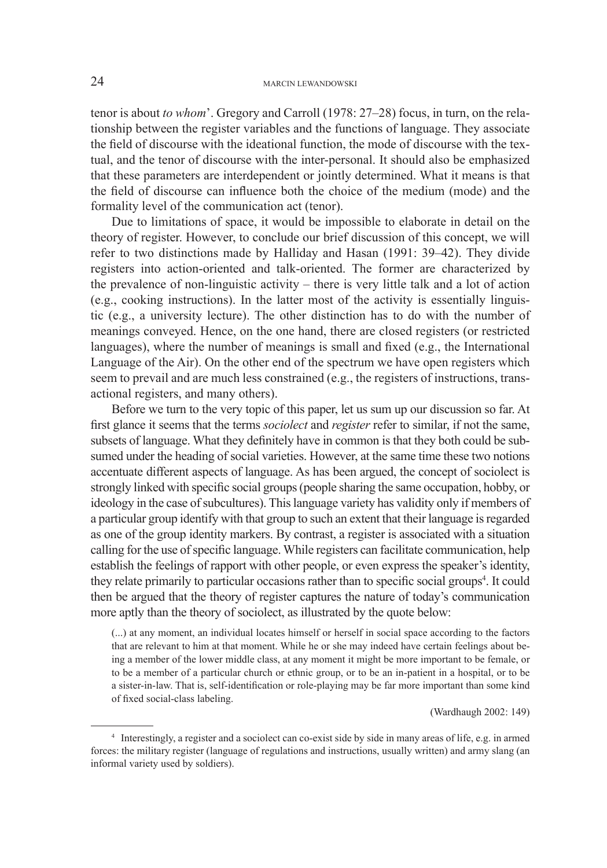## 24 MARCIN LEWANDOWSKI

tenor is about *to whom*'. Gregory and Carroll (1978: 27–28) focus, in turn, on the relationship between the register variables and the functions of language. They associate the field of discourse with the ideational function, the mode of discourse with the textual, and the tenor of discourse with the inter-personal. It should also be emphasized that these parameters are interdependent or jointly determined. What it means is that the field of discourse can influence both the choice of the medium (mode) and the formality level of the communication act (tenor).

Due to limitations of space, it would be impossible to elaborate in detail on the theory of register. However, to conclude our brief discussion of this concept, we will refer to two distinctions made by Halliday and Hasan (1991: 39–42). They divide registers into action-oriented and talk-oriented. The former are characterized by the prevalence of non-linguistic activity – there is very little talk and a lot of action (e.g., cooking instructions). In the latter most of the activity is essentially linguistic (e.g., a university lecture). The other distinction has to do with the number of meanings conveyed. Hence, on the one hand, there are closed registers (or restricted languages), where the number of meanings is small and fixed (e.g., the International Language of the Air). On the other end of the spectrum we have open registers which seem to prevail and are much less constrained (e.g., the registers of instructions, transactional registers, and many others).

Before we turn to the very topic of this paper, let us sum up our discussion so far. At first glance it seems that the terms *sociolect* and *register* refer to similar, if not the same, subsets of language. What they definitely have in common is that they both could be subsumed under the heading of social varieties. However, at the same time these two notions accentuate different aspects of language. As has been argued, the concept of sociolect is strongly linked with specific social groups (people sharing the same occupation, hobby, or ideology in the case of subcultures). This language variety has validity only if members of a particular group identify with that group to such an extent that their language is regarded as one of the group identity markers. By contrast, a register is associated with a situation calling for the use of specific language. While registers can facilitate communication, help establish the feelings of rapport with other people, or even express the speaker's identity, they relate primarily to particular occasions rather than to specific social groups<sup>4</sup>. It could then be argued that the theory of register captures the nature of today's communication more aptly than the theory of sociolect, as illustrated by the quote below:

(...) at any moment, an individual locates himself or herself in social space according to the factors that are relevant to him at that moment. While he or she may indeed have certain feelings about being a member of the lower middle class, at any moment it might be more important to be female, or to be a member of a particular church or ethnic group, or to be an in-patient in a hospital, or to be a sister-in-law. That is, self-identification or role-playing may be far more important than some kind of fixed social-class labeling.

(Wardhaugh 2002: 149)

<sup>4</sup> Interestingly, a register and a sociolect can co-exist side by side in many areas of life, e.g. in armed forces: the military register (language of regulations and instructions, usually written) and army slang (an informal variety used by soldiers).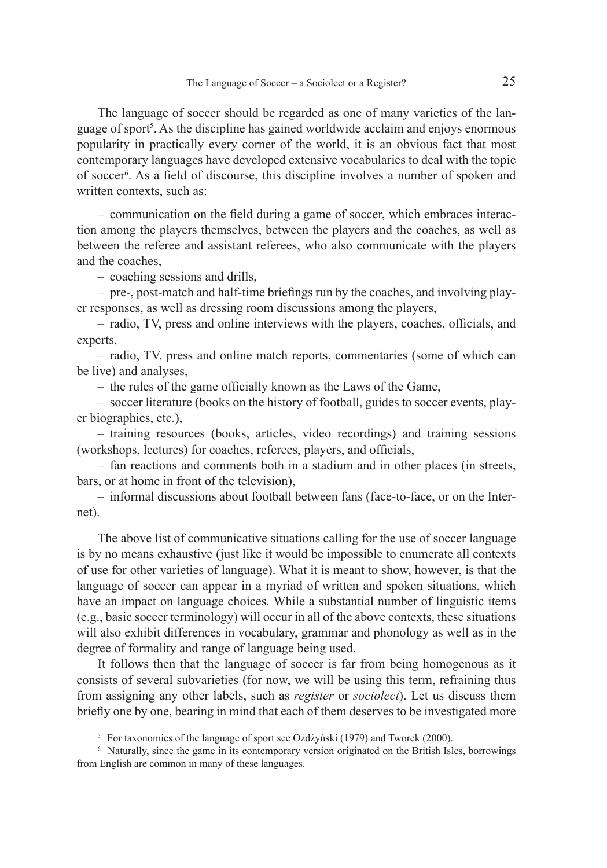The language of soccer should be regarded as one of many varieties of the language of sport<sup>5</sup>. As the discipline has gained worldwide acclaim and enjoys enormous popularity in practically every corner of the world, it is an obvious fact that most contemporary languages have developed extensive vocabularies to deal with the topic of soccer<sup>6</sup>. As a field of discourse, this discipline involves a number of spoken and written contexts, such as:

– communication on the field during a game of soccer, which embraces interaction among the players themselves, between the players and the coaches, as well as between the referee and assistant referees, who also communicate with the players and the coaches,

– coaching sessions and drills,

– pre-, post-match and half-time briefings run by the coaches, and involving player responses, as well as dressing room discussions among the players,

– radio, TV, press and online interviews with the players, coaches, officials, and experts,

– radio, TV, press and online match reports, commentaries (some of which can be live) and analyses,

 $-$  the rules of the game officially known as the Laws of the Game,

– soccer literature (books on the history of football, guides to soccer events, player biographies, etc.),

– training resources (books, articles, video recordings) and training sessions (workshops, lectures) for coaches, referees, players, and officials,

– fan reactions and comments both in a stadium and in other places (in streets, bars, or at home in front of the television),

– informal discussions about football between fans (face-to-face, or on the Internet).

The above list of communicative situations calling for the use of soccer language is by no means exhaustive (just like it would be impossible to enumerate all contexts of use for other varieties of language). What it is meant to show, however, is that the language of soccer can appear in a myriad of written and spoken situations, which have an impact on language choices. While a substantial number of linguistic items (e.g., basic soccer terminology) will occur in all of the above contexts, these situations will also exhibit differences in vocabulary, grammar and phonology as well as in the degree of formality and range of language being used.

It follows then that the language of soccer is far from being homogenous as it consists of several subvarieties (for now, we will be using this term, refraining thus from assigning any other labels, such as *register* or *sociolect*). Let us discuss them briefly one by one, bearing in mind that each of them deserves to be investigated more

For taxonomies of the language of sport see Ożdżyński (1979) and Tworek (2000).<br>6. Naturally, since the game in its contemporary version originated on the British Isl

Naturally, since the game in its contemporary version originated on the British Isles, borrowings from English are common in many of these languages.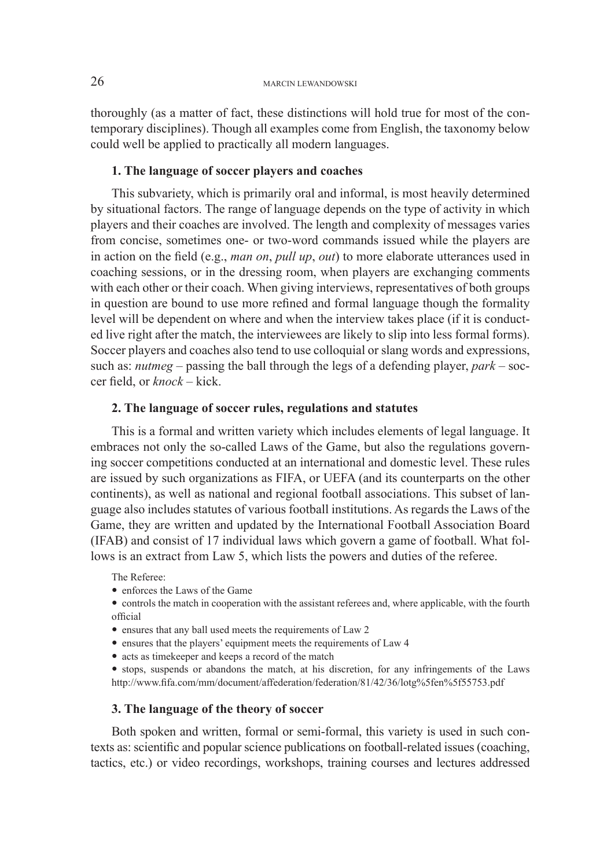thoroughly (as a matter of fact, these distinctions will hold true for most of the contemporary disciplines). Though all examples come from English, the taxonomy below could well be applied to practically all modern languages.

## **1. The language of soccer players and coaches**

This subvariety, which is primarily oral and informal, is most heavily determined by situational factors. The range of language depends on the type of activity in which players and their coaches are involved. The length and complexity of messages varies from concise, sometimes one- or two-word commands issued while the players are in action on the field (e.g., *man on*, *pull up*, *out*) to more elaborate utterances used in coaching sessions, or in the dressing room, when players are exchanging comments with each other or their coach. When giving interviews, representatives of both groups in question are bound to use more refined and formal language though the formality level will be dependent on where and when the interview takes place (if it is conducted live right after the match, the interviewees are likely to slip into less formal forms). Soccer players and coaches also tend to use colloquial or slang words and expressions, such as: *nutmeg* – passing the ball through the legs of a defending player, *park* – soccer field, or *knock* – kick.

#### **2. The language of soccer rules, regulations and statutes**

This is a formal and written variety which includes elements of legal language. It embraces not only the so-called Laws of the Game, but also the regulations governing soccer competitions conducted at an international and domestic level. These rules are issued by such organizations as FIFA, or UEFA (and its counterparts on the other continents), as well as national and regional football associations. This subset of language also includes statutes of various football institutions. As regards the Laws of the Game, they are written and updated by the International Football Association Board (IFAB) and consist of 17 individual laws which govern a game of football. What follows is an extract from Law 5, which lists the powers and duties of the referee.

The Referee:

- enforces the Laws of the Game
- controls the match in cooperation with the assistant referees and, where applicable, with the fourth official
- ensures that any ball used meets the requirements of Law 2
- ensures that the players' equipment meets the requirements of Law 4
- acts as timekeeper and keeps a record of the match
- stops, suspends or abandons the match, at his discretion, for any infringements of the Laws http://www.fi fa.com/mm/document/affederation/federation/81/42/36/lotg%5fen%5f55753.pdf

#### **3. The language of the theory of soccer**

Both spoken and written, formal or semi-formal, this variety is used in such contexts as: scientific and popular science publications on football-related issues (coaching, tactics, etc.) or video recordings, workshops, training courses and lectures addressed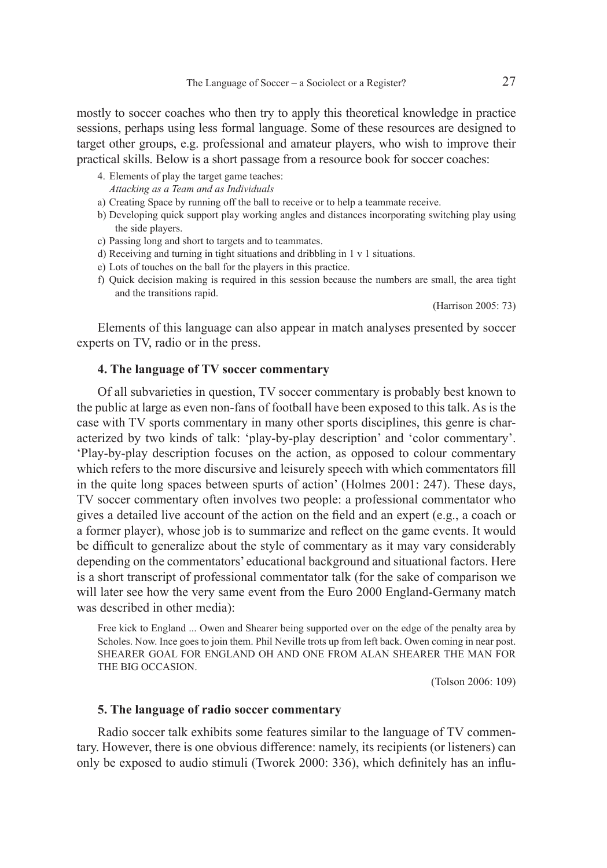mostly to soccer coaches who then try to apply this theoretical knowledge in practice sessions, perhaps using less formal language. Some of these resources are designed to target other groups, e.g. professional and amateur players, who wish to improve their practical skills. Below is a short passage from a resource book for soccer coaches:

- 4. Elements of play the target game teaches: *Attacking as a Team and as Individuals*
- a) Creating Space by running off the ball to receive or to help a teammate receive.
- b) Developing quick support play working angles and distances incorporating switching play using the side players.
- c) Passing long and short to targets and to teammates.
- d) Receiving and turning in tight situations and dribbling in 1 v 1 situations.
- e) Lots of touches on the ball for the players in this practice.
- f) Quick decision making is required in this session because the numbers are small, the area tight and the transitions rapid.

(Harrison 2005: 73)

Elements of this language can also appear in match analyses presented by soccer experts on TV, radio or in the press.

#### **4. The language of TV soccer commentary**

Of all subvarieties in question, TV soccer commentary is probably best known to the public at large as even non-fans of football have been exposed to this talk. As is the case with TV sports commentary in many other sports disciplines, this genre is characterized by two kinds of talk: 'play-by-play description' and 'color commentary'. 'Play-by-play description focuses on the action, as opposed to colour commentary which refers to the more discursive and leisurely speech with which commentators fill in the quite long spaces between spurts of action' (Holmes 2001: 247). These days, TV soccer commentary often involves two people: a professional commentator who gives a detailed live account of the action on the field and an expert (e.g., a coach or a former player), whose job is to summarize and reflect on the game events. It would be difficult to generalize about the style of commentary as it may vary considerably depending on the commentators' educational background and situational factors. Here is a short transcript of professional commentator talk (for the sake of comparison we will later see how the very same event from the Euro 2000 England-Germany match was described in other media):

Free kick to England ... Owen and Shearer being supported over on the edge of the penalty area by Scholes. Now. Ince goes to join them. Phil Neville trots up from left back. Owen coming in near post. SHEARER GOAL FOR ENGLAND OH AND ONE FROM ALAN SHEARER THE MAN FOR THE BIG OCCASION.

(Tolson 2006: 109)

### **5. The language of radio soccer commentary**

Radio soccer talk exhibits some features similar to the language of TV commentary. However, there is one obvious difference: namely, its recipients (or listeners) can only be exposed to audio stimuli (Tworek 2000: 336), which definitely has an influ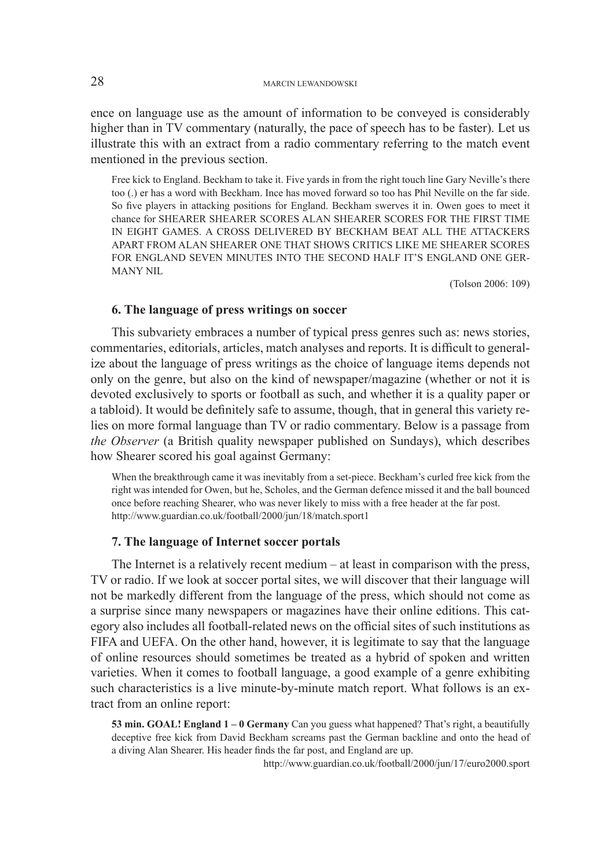ence on language use as the amount of information to be conveyed is considerably higher than in TV commentary (naturally, the pace of speech has to be faster). Let us illustrate this with an extract from a radio commentary referring to the match event mentioned in the previous section.

Free kick to England. Beckham to take it. Five yards in from the right touch line Gary Neville's there too (.) er has a word with Beckham. Ince has moved forward so too has Phil Neville on the far side. So five players in attacking positions for England. Beckham swerves it in. Owen goes to meet it chance for SHEARER SHEARER SCORES ALAN SHEARER SCORES FOR THE FIRST TIME IN EIGHT GAMES. A CROSS DELIVERED BY BECKHAM BEAT ALL THE ATTACKERS APART FROM ALAN SHEARER ONE THAT SHOWS CRITICS LIKE ME SHEARER SCORES FOR ENGLAND SEVEN MINUTES INTO THE SECOND HALF IT'S ENGLAND ONE GER-MANY NIL

(Tolson 2006: 109)

## **6. The language of press writings on soccer**

This subvariety embraces a number of typical press genres such as: news stories, commentaries, editorials, articles, match analyses and reports. It is difficult to generalize about the language of press writings as the choice of language items depends not only on the genre, but also on the kind of newspaper/magazine (whether or not it is devoted exclusively to sports or football as such, and whether it is a quality paper or a tabloid). It would be definitely safe to assume, though, that in general this variety relies on more formal language than TV or radio commentary. Below is a passage from *the Observer* (a British quality newspaper published on Sundays), which describes how Shearer scored his goal against Germany:

When the breakthrough came it was inevitably from a set-piece. Beckham's curled free kick from the right was intended for Owen, but he, Scholes, and the German defence missed it and the ball bounced once before reaching Shearer, who was never likely to miss with a free header at the far post. http://www.guardian.co.uk/football/2000/jun/18/match.sport1

#### **7. The language of Internet soccer portals**

The Internet is a relatively recent medium – at least in comparison with the press, TV or radio. If we look at soccer portal sites, we will discover that their language will not be markedly different from the language of the press, which should not come as a surprise since many newspapers or magazines have their online editions. This category also includes all football-related news on the official sites of such institutions as FIFA and UEFA. On the other hand, however, it is legitimate to say that the language of online resources should sometimes be treated as a hybrid of spoken and written varieties. When it comes to football language, a good example of a genre exhibiting such characteristics is a live minute-by-minute match report. What follows is an extract from an online report:

**53 min. GOAL! England 1 – 0 Germany** Can you guess what happened? That's right, a beautifully deceptive free kick from David Beckham screams past the German backline and onto the head of a diving Alan Shearer. His header finds the far post, and England are up.

http://www.guardian.co.uk/football/2000/jun/17/euro2000.sport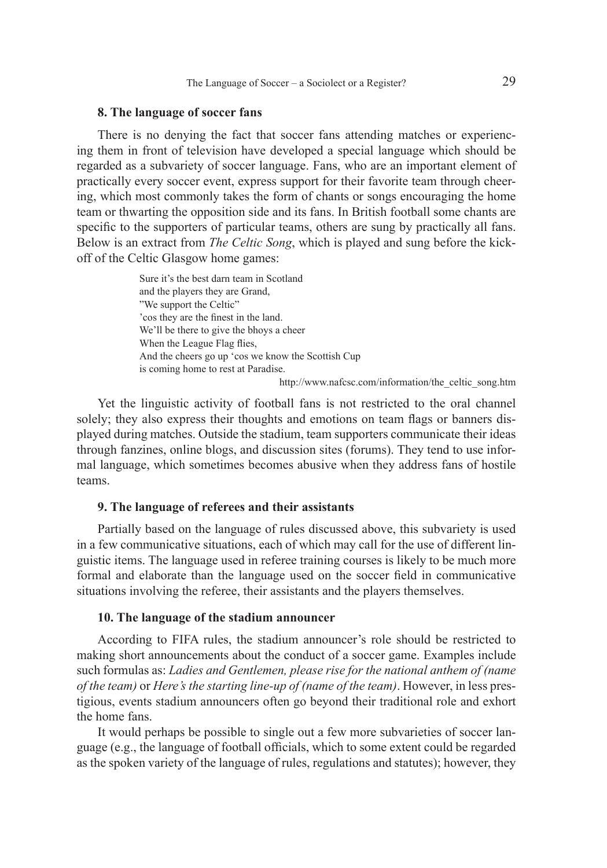## **8. The language of soccer fans**

There is no denying the fact that soccer fans attending matches or experiencing them in front of television have developed a special language which should be regarded as a subvariety of soccer language. Fans, who are an important element of practically every soccer event, express support for their favorite team through cheering, which most commonly takes the form of chants or songs encouraging the home team or thwarting the opposition side and its fans. In British football some chants are specific to the supporters of particular teams, others are sung by practically all fans. Below is an extract from *The Celtic Song*, which is played and sung before the kickoff of the Celtic Glasgow home games:

> Sure it's the best darn team in Scotland and the players they are Grand, "We support the Celtic" 'cos they are the finest in the land. We'll be there to give the bhoys a cheer When the League Flag flies, And the cheers go up 'cos we know the Scottish Cup is coming home to rest at Paradise.

http://www.nafcsc.com/information/the\_celtic\_song.htm

Yet the linguistic activity of football fans is not restricted to the oral channel solely; they also express their thoughts and emotions on team flags or banners displayed during matches. Outside the stadium, team supporters communicate their ideas through fanzines, online blogs, and discussion sites (forums). They tend to use informal language, which sometimes becomes abusive when they address fans of hostile teams.

## **9. The language of referees and their assistants**

Partially based on the language of rules discussed above, this subvariety is used in a few communicative situations, each of which may call for the use of different linguistic items. The language used in referee training courses is likely to be much more formal and elaborate than the language used on the soccer field in communicative situations involving the referee, their assistants and the players themselves.

## **10. The language of the stadium announcer**

According to FIFA rules, the stadium announcer's role should be restricted to making short announcements about the conduct of a soccer game. Examples include such formulas as: *Ladies and Gentlemen, please rise for the national anthem of (name of the team)* or *Here's the starting line-up of (name of the team)*. However, in less prestigious, events stadium announcers often go beyond their traditional role and exhort the home fans.

It would perhaps be possible to single out a few more subvarieties of soccer language (e.g., the language of football officials, which to some extent could be regarded as the spoken variety of the language of rules, regulations and statutes); however, they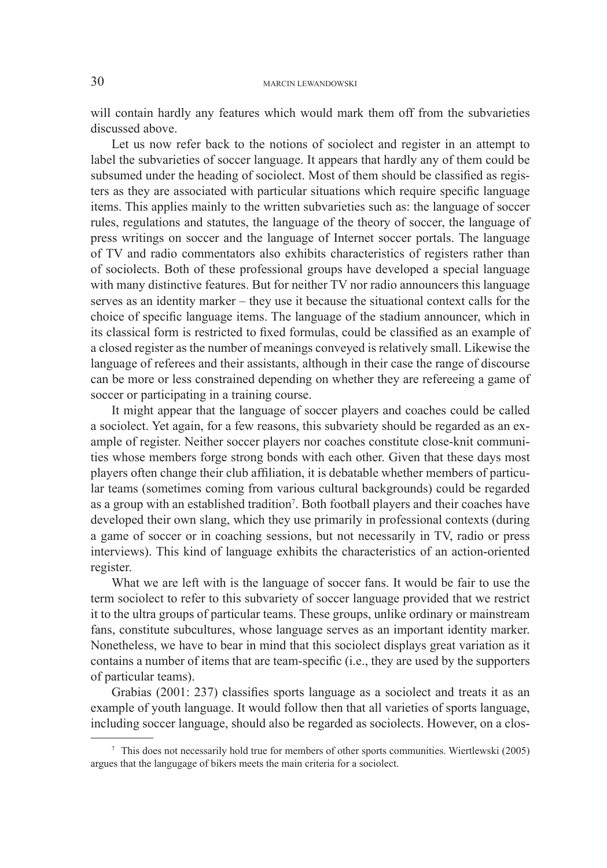## 30 MARCIN LEWANDOWSKI

will contain hardly any features which would mark them off from the subvarieties discussed above.

Let us now refer back to the notions of sociolect and register in an attempt to label the subvarieties of soccer language. It appears that hardly any of them could be subsumed under the heading of sociolect. Most of them should be classified as registers as they are associated with particular situations which require specific language items. This applies mainly to the written subvarieties such as: the language of soccer rules, regulations and statutes, the language of the theory of soccer, the language of press writings on soccer and the language of Internet soccer portals. The language of TV and radio commentators also exhibits characteristics of registers rather than of sociolects. Both of these professional groups have developed a special language with many distinctive features. But for neither TV nor radio announcers this language serves as an identity marker – they use it because the situational context calls for the choice of specific language items. The language of the stadium announcer, which in its classical form is restricted to fixed formulas, could be classified as an example of a closed register as the number of meanings conveyed is relatively small. Likewise the language of referees and their assistants, although in their case the range of discourse can be more or less constrained depending on whether they are refereeing a game of soccer or participating in a training course.

It might appear that the language of soccer players and coaches could be called a sociolect. Yet again, for a few reasons, this subvariety should be regarded as an example of register. Neither soccer players nor coaches constitute close-knit communities whose members forge strong bonds with each other. Given that these days most players often change their club affi liation, it is debatable whether members of particular teams (sometimes coming from various cultural backgrounds) could be regarded as a group with an established tradition<sup>7</sup>. Both football players and their coaches have developed their own slang, which they use primarily in professional contexts (during a game of soccer or in coaching sessions, but not necessarily in TV, radio or press interviews). This kind of language exhibits the characteristics of an action-oriented register.

What we are left with is the language of soccer fans. It would be fair to use the term sociolect to refer to this subvariety of soccer language provided that we restrict it to the ultra groups of particular teams. These groups, unlike ordinary or mainstream fans, constitute subcultures, whose language serves as an important identity marker. Nonetheless, we have to bear in mind that this sociolect displays great variation as it contains a number of items that are team-specific (i.e., they are used by the supporters of particular teams).

Grabias (2001: 237) classifies sports language as a sociolect and treats it as an example of youth language. It would follow then that all varieties of sports language, including soccer language, should also be regarded as sociolects. However, on a clos-

<sup>7</sup> This does not necessarily hold true for members of other sports communities. Wiertlewski (2005) argues that the langugage of bikers meets the main criteria for a sociolect.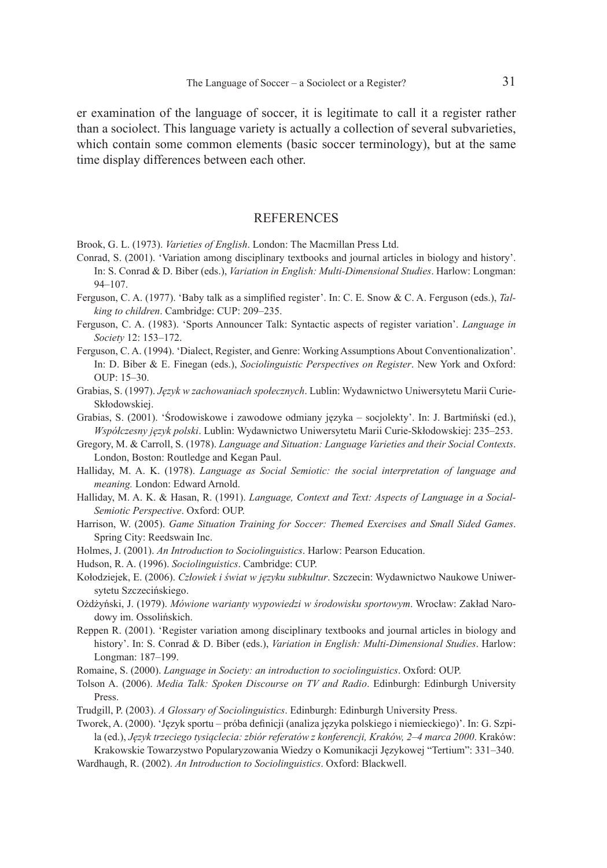er examination of the language of soccer, it is legitimate to call it a register rather than a sociolect. This language variety is actually a collection of several subvarieties, which contain some common elements (basic soccer terminology), but at the same time display differences between each other.

#### **REFERENCES**

Brook, G. L. (1973). *Varieties of English*. London: The Macmillan Press Ltd.

- Conrad, S. (2001). 'Variation among disciplinary textbooks and journal articles in biology and history'. In: S. Conrad & D. Biber (eds.), *Variation in English: Multi-Dimensional Studies*. Harlow: Longman: 94–107.
- Ferguson, C. A. (1977). 'Baby talk as a simplified register'. In: C. E. Snow & C. A. Ferguson (eds.), *Talking to children*. Cambridge: CUP: 209–235.
- Ferguson, C. A. (1983). 'Sports Announcer Talk: Syntactic aspects of register variation'. *Language in Society* 12: 153–172.
- Ferguson, C. A. (1994). 'Dialect, Register, and Genre: Working Assumptions About Conventionalization'. In: D. Biber & E. Finegan (eds.), *Sociolinguistic Perspectives on Register*. New York and Oxford: OUP: 15–30.
- Grabias, S. (1997). *Język w zachowaniach społecznych*. Lublin: Wydawnictwo Uniwersytetu Marii Curie-Skłodowskiej.
- Grabias, S. (2001). 'Środowiskowe i zawodowe odmiany języka socjolekty'. In: J. Bartmiński (ed.), *Współczesny język polski*. Lublin: Wydawnictwo Uniwersytetu Marii Curie-Skłodowskiej: 235–253.
- Gregory, M. & Carroll, S. (1978). *Language and Situation: Language Varieties and their Social Contexts*. London, Boston: Routledge and Kegan Paul.
- Halliday, M. A. K. (1978). *Language as Social Semiotic: the social interpretation of language and meaning.* London: Edward Arnold.
- Halliday, M. A. K. & Hasan, R. (1991). *Language, Context and Text: Aspects of Language in a Social-Semiotic Perspective*. Oxford: OUP.
- Harrison, W. (2005). *Game Situation Training for Soccer: Themed Exercises and Small Sided Games*. Spring City: Reedswain Inc.
- Holmes, J. (2001). *An Introduction to Sociolinguistics*. Harlow: Pearson Education.
- Hudson, R. A. (1996). *Sociolinguistics*. Cambridge: CUP.
- Kołodziejek, E. (2006). *Człowiek i świat w języku subkultur*. Szczecin: Wydawnictwo Naukowe Uniwersytetu Szczecińskiego.
- Ożdżyński, J. (1979). *Mówione warianty wypowiedzi w środowisku sportowym*. Wrocław: Zakład Narodowy im. Ossolińskich.
- Reppen R. (2001). 'Register variation among disciplinary textbooks and journal articles in biology and history'. In: S. Conrad & D. Biber (eds.), *Variation in English: Multi-Dimensional Studies*. Harlow: Longman: 187–199.
- Romaine, S. (2000). *Language in Society: an introduction to sociolinguistics*. Oxford: OUP.
- Tolson A. (2006). *Media Talk: Spoken Discourse on TV and Radio*. Edinburgh: Edinburgh University Press.
- Trudgill, P. (2003). *A Glossary of Sociolinguistics*. Edinburgh: Edinburgh University Press.

Tworek, A. (2000). 'Język sportu – próba definicji (analiza języka polskiego i niemieckiego)'. In: G. Szpila (ed.), *Język trzeciego tysiąclecia: zbiór referatów z konferencji, Kraków, 2–4 marca 2000*. Kraków: Krakowskie Towarzystwo Popularyzowania Wiedzy o Komunikacji Językowej "Tertium": 331–340.

Wardhaugh, R. (2002). *An Introduction to Sociolinguistics*. Oxford: Blackwell.